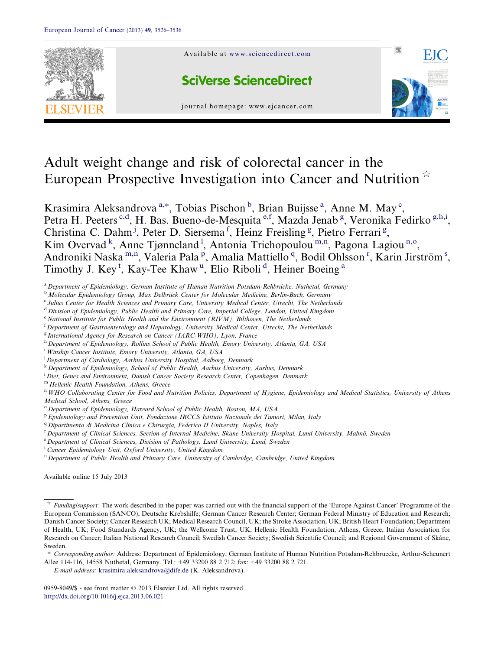

# Adult weight change and risk of colorectal cancer in the European Prospective Investigation into Cancer and Nutrition  $\mathbb{R}$

Krasimira Aleksandrova<sup>a,\*</sup>, Tobias Pischon<sup>b</sup>, Brian Buijsse<sup>a</sup>, Anne M. May<sup>c</sup>, Petra H. Peeters<sup>c,d</sup>, H. Bas. Bueno-de-Mesquita<sup>e,f</sup>, Mazda Jenab<sup>g</sup>, Veronika Fedirko<sup>g,h,i</sup>, Christina C. Dahm<sup>j</sup>, Peter D. Siersema<sup>f</sup>, Heinz Freisling<sup>g</sup>, Pietro Ferrari<sup>g</sup>, Kim Overvad<sup>k</sup>, Anne Tjønneland<sup>1</sup>, Antonia Trichopoulou<sup>m,n</sup>, Pagona Lagiou<sup>n,o</sup>, Androniki Naska<sup>m,n</sup>, Valeria Pala<sup>p</sup>, Amalia Mattiello<sup>q</sup>, Bodil Ohlsson<sup>r</sup>, Karin Jirström<sup>s</sup>, Timothy J. Key<sup>t</sup>, Kay-Tee Khaw<sup>u</sup>, Elio Riboli<sup>d</sup>, Heiner Boeing<sup>a</sup>

- <sup>a</sup> Department of Epidemiology, German Institute of Human Nutrition Potsdam-Rehbrücke, Nuthetal, Germany<br><sup>b</sup> Molecular Epidemiology Group, Max Delbrück Center for Molecular Medicine, Berlin-Buch, Germany<br><sup>c</sup> Julius Center
- 
- 
- <sup>d</sup> Division of Epidemiology, Public Health and Primary Care, Imperial College, London, United Kingdom
- <sup>e</sup> National Institute for Public Health and the Environment (RIVM), Bilthoven, The Netherlands
- <sup>f</sup> Department of Gastroenterology and Hepatology, University Medical Center, Utrecht, The Netherlands
- $g$  International Agency for Research on Cancer (IARC-WHO), Lyon, France
- h Department of Epidemiology, Rollins School of Public Health, Emory University, Atlanta, GA, USA

<sup>i</sup> Winship Cancer Institute, Emory University, Atlanta, GA, USA

- <sup>j</sup> Department of Cardiology, Aarhus University Hospital, Aalborg, Denmark
- $k$  Department of Epidemiology, School of Public Health, Aarhus University, Aarhus, Denmark
- <sup>1</sup> Diet, Genes and Environment, Danish Cancer Society Research Center, Copenhagen, Denmark

<sup>m</sup> Hellenic Health Foundation, Athens, Greece

n WHO Collaborating Center for Food and Nutrition Policies, Department of Hygiene, Epidemiology and Medical Statistics, University of Athens Medical School, Athens, Greece

- <sup>o</sup> Department of Epidemiology, Harvard School of Public Health, Boston, MA, USA
- P Epidemiology and Prevention Unit, Fondazione IRCCS Istituto Nazionale dei Tumori, Milan, Italy
- <sup>q</sup> Dipartimento di Medicina Clinica e Chirurgia, Federico II University, Naples, Italy
- <sup>r</sup> Department of Clinical Sciences, Section of Internal Medicine, Skane University Hospital, Lund University, Malmö, Sweden<br><sup>8</sup> Department of Clinical Sciences, Division of Pathology, Lund University, Lund, Sweden
- <sup>s</sup> Department of Clinical Sciences, Division of Pathology, Lund University, Lund, Sweden
- <sup>t</sup> Cancer Epidemiology Unit, Oxford University, United Kingdom
- <sup>u</sup> Department of Public Health and Primary Care, University of Cambridge, Cambridge, United Kingdom

Available online 15 July 2013

 $\dot{\tau}$  Funding/support: The work described in the paper was carried out with the financial support of the 'Europe Against Cancer' Programme of the European Commission (SANCO); Deutsche Krebshilfe; German Cancer Research Center; German Federal Ministry of Education and Research; Danish Cancer Society; Cancer Research UK; Medical Research Council, UK; the Stroke Association, UK; British Heart Foundation; Department of Health, UK; Food Standards Agency, UK; the Wellcome Trust, UK; Hellenic Health Foundation, Athens, Greece; Italian Association for Research on Cancer; Italian National Research Council; Swedish Cancer Society; Swedish Scientific Council; and Regional Government of Skåne, Sweden.

<sup>⇑</sup> Corresponding author: Address: Department of Epidemiology, German Institute of Human Nutrition Potsdam-Rehbruecke, Arthur-Scheunert Allee 114-116, 14558 Nuthetal, Germany. Tel.: +49 33200 88 2 712; fax: +49 33200 88 2 721.

E-mail address: [krasimira.aleksandrova@dife.de](mailto:krasimira.aleksandrova@dife.de) (K. Aleksandrova).

<sup>0959-8049/\$ -</sup> see front matter © 2013 Elsevier Ltd. All rights reserved. <http://dx.doi.org/10.1016/j.ejca.2013.06.021>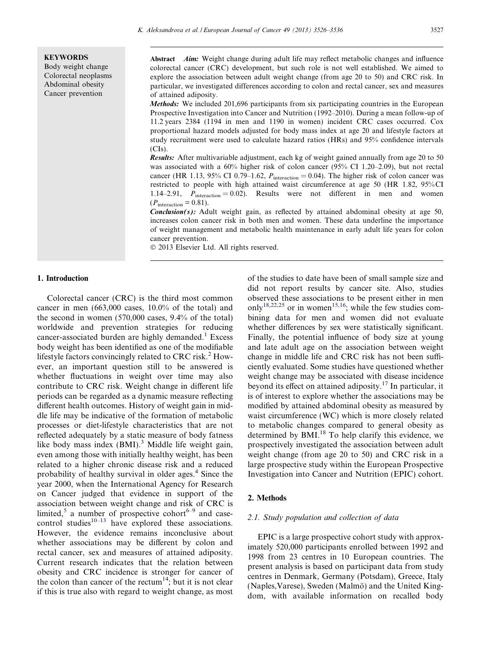#### **KEYWORDS**

Body weight change Colorectal neoplasms Abdominal obesity Cancer prevention

Abstract *Aim:* Weight change during adult life may reflect metabolic changes and influence colorectal cancer (CRC) development, but such role is not well established. We aimed to explore the association between adult weight change (from age 20 to 50) and CRC risk. In particular, we investigated differences according to colon and rectal cancer, sex and measures of attained adiposity.

Methods: We included 201,696 participants from six participating countries in the European Prospective Investigation into Cancer and Nutrition (1992–2010). During a mean follow-up of 11.2 years 2384 (1194 in men and 1190 in women) incident CRC cases occurred. Cox proportional hazard models adjusted for body mass index at age 20 and lifestyle factors at study recruitment were used to calculate hazard ratios (HRs) and 95% confidence intervals  $(CIs)$ .

Results: After multivariable adjustment, each kg of weight gained annually from age 20 to 50 was associated with a 60% higher risk of colon cancer (95% CI 1.20–2.09), but not rectal cancer (HR 1.13, 95% CI 0.79–1.62,  $P_{\text{interaction}} = 0.04$ ). The higher risk of colon cancer was restricted to people with high attained waist circumference at age 50 (HR 1.82, 95% CI 1.14–2.91,  $P_{\text{interaction}} = 0.02$ . Results were not different in men and women  $(P_{\text{interaction}} = 0.81)$ .

 $Conclusion(s)$ : Adult weight gain, as reflected by attained abdominal obesity at age 50, increases colon cancer risk in both men and women. These data underline the importance of weight management and metabolic health maintenance in early adult life years for colon cancer prevention.

© 2013 Elsevier Ltd. All rights reserved.

## 1. Introduction

Colorectal cancer (CRC) is the third most common cancer in men (663,000 cases, 10.0% of the total) and the second in women (570,000 cases, 9.4% of the total) worldwide and prevention strategies for reducing cancer-associated burden are highly demanded.<sup>1</sup> Excess body weight has been identified as one of the modifiable lifestyle factors convincingly related to CRC risk.<sup>[2](#page-8-0)</sup> However, an important question still to be answered is whether fluctuations in weight over time may also contribute to CRC risk. Weight change in different life periods can be regarded as a dynamic measure reflecting different health outcomes. History of weight gain in middle life may be indicative of the formation of metabolic processes or diet-lifestyle characteristics that are not reflected adequately by a static measure of body fatness like body mass index  $(BMI)$ .<sup>[3](#page-8-0)</sup> Middle life weight gain, even among those with initially healthy weight, has been related to a higher chronic disease risk and a reduced probability of healthy survival in older ages.<sup>[4](#page-8-0)</sup> Since the year 2000, when the International Agency for Research on Cancer judged that evidence in support of the association between weight change and risk of CRC is limited,<sup>[5](#page-8-0)</sup> a number of prospective cohort<sup>6–9</sup> and casecontrol studies $10-13$  have explored these associations. However, the evidence remains inconclusive about whether associations may be different by colon and rectal cancer, sex and measures of attained adiposity. Current research indicates that the relation between obesity and CRC incidence is stronger for cancer of the colon than cancer of the rectum<sup>14</sup>; but it is not clear if this is true also with regard to weight change, as most of the studies to date have been of small sample size and did not report results by cancer site. Also, studies observed these associations to be present either in men only<sup>[18,22,25](#page-9-0)</sup> or in women<sup>[15,16](#page-9-0)</sup>; while the few studies combining data for men and women did not evaluate whether differences by sex were statistically significant. Finally, the potential influence of body size at young and late adult age on the association between weight change in middle life and CRC risk has not been sufficiently evaluated. Some studies have questioned whether weight change may be associated with disease incidence beyond its effect on attained adiposity.<sup>[17](#page-9-0)</sup> In particular, it is of interest to explore whether the associations may be modified by attained abdominal obesity as measured by waist circumference (WC) which is more closely related to metabolic changes compared to general obesity as determined by BMI.<sup>[18](#page-9-0)</sup> To help clarify this evidence, we prospectively investigated the association between adult weight change (from age 20 to 50) and CRC risk in a large prospective study within the European Prospective Investigation into Cancer and Nutrition (EPIC) cohort.

## 2. Methods

# 2.1. Study population and collection of data

EPIC is a large prospective cohort study with approximately 520,000 participants enrolled between 1992 and 1998 from 23 centres in 10 European countries. The present analysis is based on participant data from study centres in Denmark, Germany (Potsdam), Greece, Italy (Naples, Varese), Sweden (Malmö) and the United Kingdom, with available information on recalled body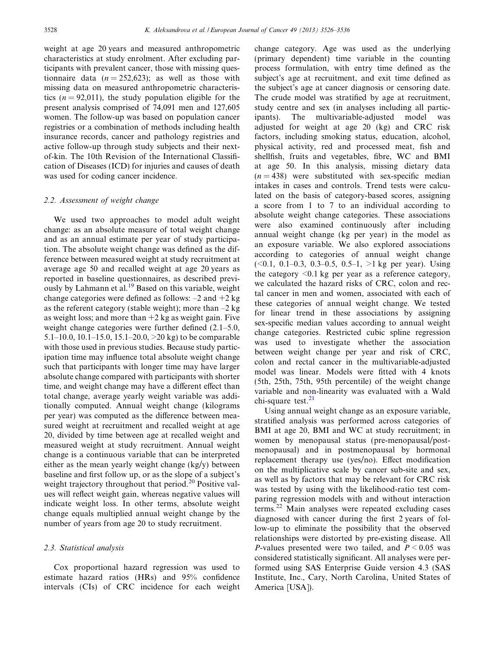weight at age 20 years and measured anthropometric characteristics at study enrolment. After excluding participants with prevalent cancer, those with missing questionnaire data  $(n = 252,623)$ ; as well as those with missing data on measured anthropometric characteristics ( $n = 92,011$ ), the study population eligible for the present analysis comprised of 74,091 men and 127,605 women. The follow-up was based on population cancer registries or a combination of methods including health insurance records, cancer and pathology registries and active follow-up through study subjects and their nextof-kin. The 10th Revision of the International Classification of Diseases (ICD) for injuries and causes of death was used for coding cancer incidence.

#### 2.2. Assessment of weight change

We used two approaches to model adult weight change: as an absolute measure of total weight change and as an annual estimate per year of study participation. The absolute weight change was defined as the difference between measured weight at study recruitment at average age 50 and recalled weight at age 20 years as reported in baseline questionnaires, as described previ-ously by Lahmann et al.<sup>[19](#page-9-0)</sup> Based on this variable, weight change categories were defined as follows:  $-2$  and  $+2$  kg as the referent category (stable weight); more than  $-2$  kg as weight loss; and more than  $+2$  kg as weight gain. Five weight change categories were further defined  $(2.1-5.0,$ 5.1–10.0, 10.1–15.0, 15.1–20.0, >20 kg) to be comparable with those used in previous studies. Because study participation time may influence total absolute weight change such that participants with longer time may have larger absolute change compared with participants with shorter time, and weight change may have a different effect than total change, average yearly weight variable was additionally computed. Annual weight change (kilograms per year) was computed as the difference between measured weight at recruitment and recalled weight at age 20, divided by time between age at recalled weight and measured weight at study recruitment. Annual weight change is a continuous variable that can be interpreted either as the mean yearly weight change (kg/y) between baseline and first follow up, or as the slope of a subject's weight trajectory throughout that period.<sup>[20](#page-9-0)</sup> Positive values will reflect weight gain, whereas negative values will indicate weight loss. In other terms, absolute weight change equals multiplied annual weight change by the number of years from age 20 to study recruitment.

## 2.3. Statistical analysis

Cox proportional hazard regression was used to estimate hazard ratios (HRs) and 95% confidence intervals (CIs) of CRC incidence for each weight change category. Age was used as the underlying (primary dependent) time variable in the counting process formulation, with entry time defined as the subject's age at recruitment, and exit time defined as the subject's age at cancer diagnosis or censoring date. The crude model was stratified by age at recruitment, study centre and sex (in analyses including all participants). The multivariable-adjusted model was adjusted for weight at age 20 (kg) and CRC risk factors, including smoking status, education, alcohol, physical activity, red and processed meat, fish and shellfish, fruits and vegetables, fibre, WC and BMI at age 50. In this analysis, missing dietary data  $(n = 438)$  were substituted with sex-specific median intakes in cases and controls. Trend tests were calculated on the basis of category-based scores, assigning a score from 1 to 7 to an individual according to absolute weight change categories. These associations were also examined continuously after including annual weight change (kg per year) in the model as an exposure variable. We also explored associations according to categories of annual weight change  $(<0.1, 0.1-0.3, 0.3-0.5, 0.5-1, >1$  kg per year). Using the category <0.1 kg per year as a reference category, we calculated the hazard risks of CRC, colon and rectal cancer in men and women, associated with each of these categories of annual weight change. We tested for linear trend in these associations by assigning sex-specific median values according to annual weight change categories. Restricted cubic spline regression was used to investigate whether the association between weight change per year and risk of CRC, colon and rectal cancer in the multivariable-adjusted model was linear. Models were fitted with 4 knots (5th, 25th, 75th, 95th percentile) of the weight change variable and non-linearity was evaluated with a Wald chi-square test. $^{21}$  $^{21}$  $^{21}$ 

Using annual weight change as an exposure variable, stratified analysis was performed across categories of BMI at age 20, BMI and WC at study recruitment; in women by menopausal status (pre-menopausal/postmenopausal) and in postmenopausal by hormonal replacement therapy use (yes/no). Effect modification on the multiplicative scale by cancer sub-site and sex, as well as by factors that may be relevant for CRC risk was tested by using with the likelihood-ratio test comparing regression models with and without interaction terms.<sup>[22](#page-9-0)</sup> Main analyses were repeated excluding cases diagnosed with cancer during the first 2 years of follow-up to eliminate the possibility that the observed relationships were distorted by pre-existing disease. All *P*-values presented were two tailed, and  $P \leq 0.05$  was considered statistically significant. All analyses were performed using SAS Enterprise Guide version 4.3 (SAS Institute, Inc., Cary, North Carolina, United States of America [USA]).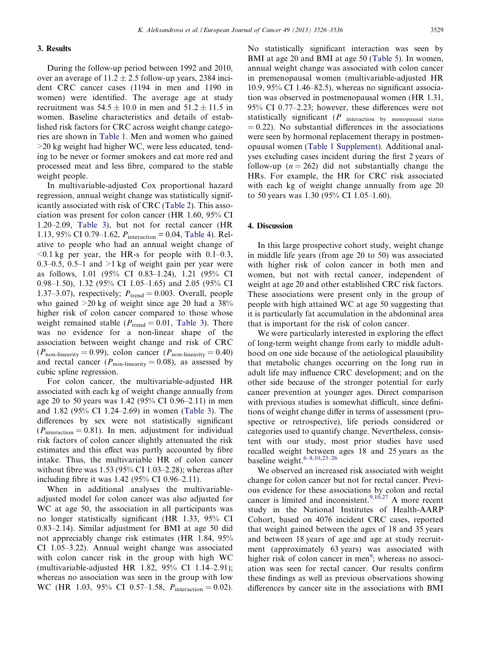During the follow-up period between 1992 and 2010, over an average of  $11.2 \pm 2.5$  follow-up years, 2384 incident CRC cancer cases (1194 in men and 1190 in women) were identified. The average age at study

recruitment was  $54.5 \pm 10.0$  in men and  $51.2 \pm 11.5$  in women. Baseline characteristics and details of established risk factors for CRC across weight change categories are shown in [Table 1.](#page-4-0) Men and women who gained >20 kg weight had higher WC, were less educated, tending to be never or former smokers and eat more red and processed meat and less fibre, compared to the stable weight people.

In multivariable-adjusted Cox proportional hazard regression, annual weight change was statistically significantly associated with risk of CRC [\(Table 2](#page-5-0)). This association was present for colon cancer (HR 1.60, 95% CI 1.20–2.09, [Table 3\)](#page-6-0), but not for rectal cancer (HR 1.13, 95% CI 0.79–1.62,  $P_{\text{interaction}} = 0.04$ , [Table 4](#page-7-0)). Relative to people who had an annual weight change of  $\leq 0.1$  kg per year, the HR-s for people with 0.1–0.3, 0.3–0.5, 0.5–1 and  $>1$  kg of weight gain per year were as follows, 1.01 (95% CI 0.83–1.24), 1.21 (95% CI 0.98–1.50), 1.32 (95% CI 1.05–1.65) and 2.05 (95% CI 1.37–3.07), respectively;  $P_{\text{trend}} = 0.003$ . Overall, people who gained >20 kg of weight since age 20 had a 38% higher risk of colon cancer compared to those whose weight remained stable ( $P_{\text{trend}} = 0.01$ , [Table 3](#page-6-0)). There was no evidence for a non-linear shape of the association between weight change and risk of CRC  $(P_{\text{non-linearity}} = 0.99)$ , colon cancer  $(P_{\text{non-linearity}} = 0.40)$ and rectal cancer ( $P_{\text{non-linearity}} = 0.08$ ), as assessed by cubic spline regression.

For colon cancer, the multivariable-adjusted HR associated with each kg of weight change annually from age 20 to 50 years was 1.42 (95% CI 0.96–2.11) in men and 1.82 (95% CI 1.24–2.69) in women ([Table 3](#page-6-0)). The differences by sex were not statistically significant  $(P_{\text{interaction}} = 0.81)$ . In men, adjustment for individual risk factors of colon cancer slightly attenuated the risk estimates and this effect was partly accounted by fibre intake. Thus, the multivariable HR of colon cancer without fibre was  $1.53$  (95% CI 1.03–2.28); whereas after including fibre it was 1.42 (95% CI 0.96–2.11).

When in additional analyses the multivariableadjusted model for colon cancer was also adjusted for WC at age 50, the association in all participants was no longer statistically significant (HR 1.33, 95% CI 0.83–2.14). Similar adjustment for BMI at age 50 did not appreciably change risk estimates (HR 1.84, 95% CI 1.05–3.22). Annual weight change was associated with colon cancer risk in the group with high WC (multivariable-adjusted HR 1.82, 95% CI 1.14–2.91); whereas no association was seen in the group with low WC (HR 1.03, 95% CI 0.57–1.58,  $P_{\text{interaction}} = 0.02$ ). No statistically significant interaction was seen by BMI at age 20 and BMI at age 50 ([Table 5\)](#page-8-0). In women, annual weight change was associated with colon cancer in premenopausal women (multivariable-adjusted HR 10.9, 95% CI 1.46–82.5), whereas no significant association was observed in postmenopausal women (HR 1.31, 95% CI 0.77–2.23; however, these differences were not statistically significant (P interaction by menopausal status  $= 0.22$ ). No substantial differences in the associations were seen by hormonal replacement therapy in postmenopausal women ([Table 1 Supplement\)](#page-8-0). Additional analyses excluding cases incident during the first 2 years of follow-up ( $n = 262$ ) did not substantially change the HRs. For example, the HR for CRC risk associated with each kg of weight change annually from age 20 to 50 years was 1.30 (95% CI 1.05–1.60).

## 4. Discussion

In this large prospective cohort study, weight change in middle life years (from age 20 to 50) was associated with higher risk of colon cancer in both men and women, but not with rectal cancer, independent of weight at age 20 and other established CRC risk factors. These associations were present only in the group of people with high attained WC at age 50 suggesting that it is particularly fat accumulation in the abdominal area that is important for the risk of colon cancer.

We were particularly interested in exploring the effect of long-term weight change from early to middle adulthood on one side because of the aetiological plausibility that metabolic changes occurring on the long run in adult life may influence CRC development; and on the other side because of the stronger potential for early cancer prevention at younger ages. Direct comparison with previous studies is somewhat difficult, since definitions of weight change differ in terms of assessment (prospective or retrospective), life periods considered or categories used to quantify change. Nevertheless, consistent with our study, most prior studies have used recalled weight between ages 18 and 25 years as the baseline weight. $6-8,10,23-26$ 

We observed an increased risk associated with weight change for colon cancer but not for rectal cancer. Previous evidence for these associations by colon and rectal cancer is limited and inconsistent. $9,10,27$  A more recent study in the National Institutes of Health-AARP Cohort, based on 4076 incident CRC cases, reported that weight gained between the ages of 18 and 35 years and between 18 years of age and age at study recruitment (approximately 63 years) was associated with higher risk of colon cancer in men<sup>[9](#page-9-0)</sup>; whereas no association was seen for rectal cancer. Our results confirm these findings as well as previous observations showing differences by cancer site in the associations with BMI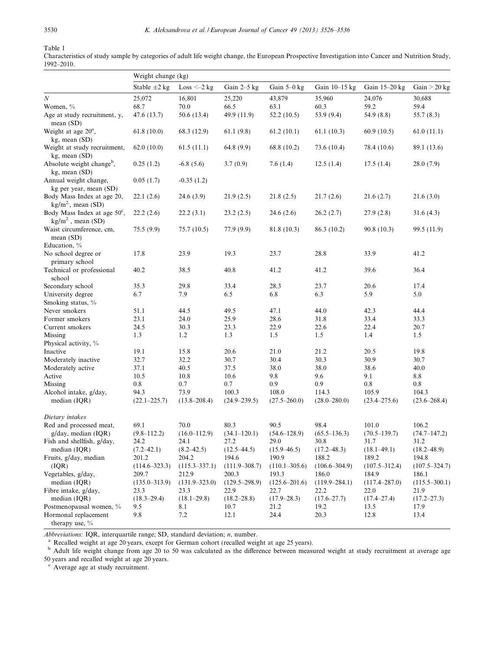<span id="page-4-0"></span>Characteristics of study sample by categories of adult life weight change, the European Prospective Investigation into Cancer and Nutrition Study, 1992–2010.

|                                                           | Weight change (kg)         |                            |                            |                            |                            |                            |                            |
|-----------------------------------------------------------|----------------------------|----------------------------|----------------------------|----------------------------|----------------------------|----------------------------|----------------------------|
|                                                           | Stable $\pm 2$ kg          | Loss $\leq -2$ kg          | Gain 2-5 kg                | Gain 5-0 kg                | Gain 10-15 kg              | Gain 15-20 kg              | $Gain > 20$ kg             |
| $\cal N$                                                  | 25,072                     | 16,801                     | 25,220                     | 43,879                     | 35,960                     | 24,076                     | 30,688                     |
| Women, %                                                  | 68.7                       | 70.0                       | 66.5                       | 63.1                       | 60.3                       | 59.2                       | 59.4                       |
| Age at study recruitment, y,<br>mean $(SD)$               | 47.6 (13.7)                | 50.6 (13.4)                | 49.9 (11.9)                | 52.2 $(10.5)$              | 53.9 (9.4)                 | 54.9 (8.8)                 | 55.7(8.3)                  |
| Weight at age 20 <sup>a</sup> ,                           | 61.8(10.0)                 | 68.3 (12.9)                | 61.1(9.8)                  | 61.2(10.1)                 | 61.1(10.3)                 | 60.9(10.5)                 | 61.0(11.1)                 |
| kg, mean (SD)                                             |                            |                            |                            |                            |                            |                            |                            |
| Weight at study recruitment,<br>kg, mean (SD)             | 62.0(10.0)                 | 61.5(11.1)                 | 64.8(9.9)                  | 68.8 (10.2)                | 73.6 (10.4)                | 78.4 (10.6)                | 89.1 (13.6)                |
| Absolute weight change <sup>b</sup> ,<br>kg, mean (SD)    | 0.25(1.2)                  | $-6.8(5.6)$                | 3.7(0.9)                   | 7.6(1.4)                   | 12.5(1.4)                  | 17.5(1.4)                  | 28.0(7.9)                  |
| Annual weight change,<br>kg per year, mean (SD)           | 0.05(1.7)                  | $-0.35(1.2)$               |                            |                            |                            |                            |                            |
| Body Mass Index at age 20,<br>$\text{kg/m}^2$ , mean (SD) | 22.1(2.6)                  | 24.6 (3.9)                 | 21.9(2.5)                  | 21.8(2.5)                  | 21.7(2.6)                  | 21.6(2.7)                  | 21.6(3.0)                  |
| Body Mass Index at age 50°,<br>$kg/m2$ , mean (SD)        | 22.2(2.6)                  | 22.2(3.1)                  | 23.2(2.5)                  | 24.6(2.6)                  | 26.2(2.7)                  | 27.9(2.8)                  | 31.6(4.3)                  |
| Waist circumference, cm,<br>mean(SD)                      | 75.5(9.9)                  | 75.7 (10.5)                | 77.9(9.9)                  | 81.8 (10.3)                | 86.3 (10.2)                | 90.8 (10.3)                | 99.5 (11.9)                |
| Education, %                                              |                            |                            |                            |                            |                            |                            |                            |
| No school degree or<br>primary school                     | 17.8                       | 23.9                       | 19.3                       | 23.7                       | 28.8                       | 33.9                       | 41.2                       |
| Technical or professional<br>school                       | 40.2                       | 38.5                       | 40.8                       | 41.2                       | 41.2                       | 39.6                       | 36.4                       |
| Secondary school                                          | 35.3                       | 29.8                       | 33.4                       | 28.3                       | 23.7                       | 20.6                       | 17.4                       |
| University degree                                         | 6.7                        | 7.9                        | 6.5                        | 6.8                        | 6.3                        | 5.9                        | 5.0                        |
| Smoking status, %                                         |                            |                            |                            |                            |                            |                            |                            |
| Never smokers                                             | 51.1                       | 44.5                       | 49.5                       | 47.1                       | 44.0                       | 42.3                       | 44.4                       |
| Former smokers                                            | 23.1                       | 24.0                       | 25.9                       | 28.6                       | 31.8                       | 33.4                       | 33.3                       |
| Current smokers                                           | 24.5                       | 30.3                       | 23.3                       | 22.9                       | 22.6                       | 22.4                       | 20.7                       |
| Missing                                                   | 1.3                        | 1.2                        | 1.3                        | 1.5                        | 1.5                        | 1.4                        | 1.5                        |
| Physical activity, %                                      |                            |                            |                            |                            |                            |                            |                            |
| Inactive                                                  | 19.1<br>32.7               | 15.8<br>32.2               | 20.6<br>30.7               | 21.0<br>30.4               | 21.2<br>30.3               | 20.5<br>30.9               | 19.8<br>30.7               |
| Moderately inactive<br>Moderately active                  | 37.1                       | 40.5                       | 37.5                       | 38.0                       | 38.0                       | 38.6                       | 40.0                       |
| Active                                                    | 10.5                       | 10.8                       | 10.6                       | 9.8                        | 9.6                        | 9.1                        | 8.8                        |
| Missing                                                   | 0.8                        | 0.7                        | 0.7                        | 0.9                        | 0.9                        | 0.8                        | 0.8                        |
| Alcohol intake, g/day,                                    | 94.3                       | 73.9                       | 100.3                      | 108.0                      | 114.3                      | 105.9                      | 104.3                      |
| median $(IQR)$                                            | $(22.1 - 225.7)$           | $(13.8 - 208.4)$           | $(24.9 - 239.5)$           | $(27.5 - 260.0)$           | $(28.0 - 280.0)$           | $(23.4 - 275.6)$           | $(23.6 - 268.4)$           |
| Dietary intakes                                           |                            |                            |                            |                            |                            |                            |                            |
| Red and processed meat,                                   | 69.1                       | 70.0                       | 80.3                       | 90.5                       | 98.4                       | 101.0                      | 106.2                      |
| g/day, median (IQR)                                       | $(9.8 - 112.2)$            | $(16.0 - 112.9)$           | $(34.1 - 120.1)$           | $(54.6 - 128.9)$           | $(65.5 - 136.3)$           | $(70.5 - 139.7)$           | $(74.7 - 147.2)$           |
| Fish and shellfish, g/day,                                | 24.2                       | 24.1                       | 27.2                       | 29.0                       | 30.8                       | 31.7                       | 31.2                       |
| median $(IQR)$                                            | $(7.2 - 42.1)$             | $(8.2 - 42.5)$             | $(12.5 - 44.5)$            | $(15.9 - 46.5)$            | $(17.2 - 48.3)$            | $(18.1 - 49.1)$            | $(18.2 - 48.9)$            |
| Fruits, g/day, median                                     | 201.2                      | 204.2                      | 194.6                      | 190.9                      | 188.2                      | 189.2                      | 194.8                      |
| (IQR)<br>Vegetables, g/day,                               | $(114.6 - 323.3)$<br>209.7 | $(115.3 - 337.1)$<br>212.9 | $(111.9 - 308.7)$<br>200.3 | $(110.1 - 305.6)$<br>193.3 | $(106.6 - 304.9)$<br>186.0 | $(107.5 - 312.4)$<br>184.9 | $(107.5 - 324.7)$<br>186.1 |
| median $(IQR)$                                            | $(135.0 - 313.9)$          | $(131.9 - 323.0)$          | $(129.5 - 298.9)$          | $(125.6 - 201.6)$          | $(119.9 - 284.1)$          | $(117.4 - 287.0)$          | $(115.5 - 300.1)$          |
| Fibre intake, g/day,                                      | 23.3                       | 23.3                       | 22.9                       | 22.7                       | 22.2                       | 22.0                       | 21.9                       |
| median $(IQR)$                                            | $(18.3 - 29.4)$            | $(18.1 - 29.8)$            | $(18.2 - 28.8)$            | $(17.9 - 28.3)$            | $(17.6 - 27.7)$            | $(17.4 - 27.4)$            | $(17.2 - 27.3)$            |
| Postmenopausal women, %                                   | 9.5                        | 8.1                        | 10.7                       | 21.2                       | 19.2                       | 13.5                       | 17.9                       |
| Hormonal replacement<br>therapy use, %                    | 9.8                        | 7.2                        | 12.1                       | 24.4                       | 20.3                       | 12.8                       | 13.4                       |

Abbreviations: IQR, interquartile range; SD, standard deviation; n, number.

<sup>a</sup> Recalled weight at age 20 years, except for German cohort (recalled weight at age 25 years).

 $<sup>b</sup>$  Adult life weight change from age 20 to 50 was calculated as the difference between measured weight at study recruitment at average age</sup> 50 years and recalled weight at age 20 years.

<sup>c</sup> Average age at study recruitment.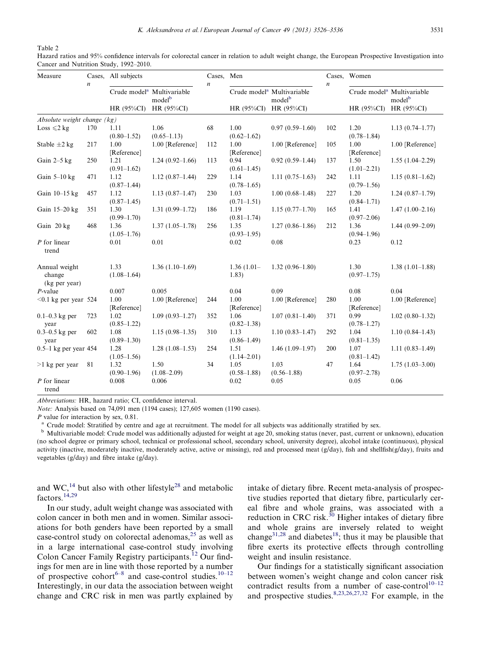<span id="page-5-0"></span>Hazard ratios and 95% confidence intervals for colorectal cancer in relation to adult weight change, the European Prospective Investigation into Cancer and Nutrition Study, 1992–2010.

| Cases,<br>Measure<br>$\boldsymbol{n}$ |     | All subjects          |                                                              | Cases,<br>$\boldsymbol{n}$ | Men             |                                                              | Cases,<br>$\boldsymbol{n}$ | Women           |                                                              |
|---------------------------------------|-----|-----------------------|--------------------------------------------------------------|----------------------------|-----------------|--------------------------------------------------------------|----------------------------|-----------------|--------------------------------------------------------------|
|                                       |     |                       | Crude model <sup>a</sup> Multivariable<br>model <sup>b</sup> |                            |                 | Crude model <sup>a</sup> Multivariable<br>model <sup>b</sup> |                            |                 | Crude model <sup>a</sup> Multivariable<br>model <sup>b</sup> |
|                                       |     | HR (95%CI) HR (95%CI) |                                                              |                            |                 | HR (95%CI) HR (95%CI)                                        |                            |                 | HR (95%CI) HR (95%CI)                                        |
| Absolute weight change (kg)           |     |                       |                                                              |                            |                 |                                                              |                            |                 |                                                              |
| Loss $\leq 2$ kg                      | 170 | 1.11                  | 1.06                                                         | 68                         | 1.00            | $0.97(0.59-1.60)$                                            | 102                        | 1.20            | $1.13(0.74 - 1.77)$                                          |
|                                       |     | $(0.80 - 1.52)$       | $(0.65 - 1.13)$                                              |                            | $(0.62 - 1.62)$ |                                                              |                            | $(0.78 - 1.84)$ |                                                              |
| Stable $\pm 2$ kg                     | 217 | 1.00                  | 1.00 [Reference]                                             | 112                        | 1.00            | 1.00 [Reference]                                             | 105                        | 1.00            | 1.00 [Reference]                                             |
|                                       |     | [Reference]           |                                                              |                            | [Reference]     |                                                              |                            | [Reference]     |                                                              |
| Gain $2-5$ kg                         | 250 | 1.21                  | $1.24(0.92 - 1.66)$                                          | 113                        | 0.94            | $0.92(0.59-1.44)$                                            | 137                        | 1.50            | $1.55(1.04-2.29)$                                            |
|                                       |     | $(0.91-1.62)$         |                                                              |                            | $(0.61 - 1.45)$ |                                                              |                            | $(1.01 - 2.21)$ |                                                              |
| Gain $5-10$ kg                        | 471 | 1.12                  | $1.12(0.87-1.44)$                                            | 229                        | 1.14            | $1.11(0.75-1.63)$                                            | 242                        | 1.11            | $1.15(0.81-1.62)$                                            |
|                                       |     | $(0.87 - 1.44)$       |                                                              |                            | $(0.78 - 1.65)$ |                                                              |                            | $(0.79-1.56)$   |                                                              |
| Gain 10-15 kg                         | 457 | 1.12                  | $1.13(0.87-1.47)$                                            | 230                        | 1.03            | $1.00(0.68 - 1.48)$                                          | 227                        | 1.20            | $1.24(0.87-1.79)$                                            |
|                                       |     | $(0.87-1.45)$         |                                                              |                            | $(0.71 - 1.51)$ |                                                              |                            | $(0.84 - 1.71)$ |                                                              |
| Gain 15-20 kg                         | 351 | 1.30                  | $1.31(0.99-1.72)$                                            | 186                        | 1.19            | $1.15(0.77-1.70)$                                            | 165                        | 1.41            | $1.47(1.00-2.16)$                                            |
|                                       |     | $(0.99 - 1.70)$       |                                                              |                            | $(0.81 - 1.74)$ |                                                              |                            | $(0.97 - 2.06)$ |                                                              |
| Gain 20 kg                            | 468 | 1.36                  | $1.37(1.05-1.78)$                                            | 256                        | 1.35            | $1.27(0.86-1.86)$                                            | 212                        | 1.36            | $1.44(0.99-2.09)$                                            |
|                                       |     | $(1.05-1.76)$         |                                                              |                            | $(0.93 - 1.95)$ |                                                              |                            | $(0.94 - 1.96)$ |                                                              |
| $P$ for linear                        |     | 0.01                  | 0.01                                                         |                            | 0.02            | 0.08                                                         |                            | 0.23            | 0.12                                                         |
| trend                                 |     |                       |                                                              |                            |                 |                                                              |                            |                 |                                                              |
| Annual weight                         |     | 1.33                  | $1.36(1.10-1.69)$                                            |                            | $1.36(1.01 -$   | $1.32(0.96-1.80)$                                            |                            | 1.30            | $1.38(1.01-1.88)$                                            |
| change                                |     | $(1.08-1.64)$         |                                                              |                            | 1.83)           |                                                              |                            | $(0.97-1.75)$   |                                                              |
| (kg per year)                         |     |                       |                                                              |                            |                 |                                                              |                            |                 |                                                              |
| $P$ -value                            |     | 0.007                 | 0.005                                                        |                            | 0.04            | 0.09                                                         |                            | 0.08            | 0.04                                                         |
| $< 0.1$ kg per year 524               |     | 1.00                  | 1.00 [Reference]                                             | 244                        | 1.00            | 1.00 [Reference]                                             | 280                        | 1.00            | 1.00 [Reference]                                             |
|                                       |     | [Reference]           |                                                              |                            | [Reference]     |                                                              |                            | [Reference]     |                                                              |
| $0.1 - 0.3$ kg per                    | 723 | 1.02                  | $1.09(0.93 - 1.27)$                                          | 352                        | 1.06            | $1.07(0.81-1.40)$                                            | 371                        | 0.99            | $1.02(0.80-1.32)$                                            |
| year                                  |     | $(0.85 - 1.22)$       |                                                              |                            | $(0.82 - 1.38)$ |                                                              |                            | $(0.78 - 1.27)$ |                                                              |
| $0.3 - 0.5$ kg per                    | 602 | 1.08                  | $1.15(0.98-1.35)$                                            | 310                        | 1.13            | $1.10(0.83 - 1.47)$                                          | 292                        | 1.04            | $1.10(0.84-1.43)$                                            |
| year                                  |     | $(0.89 - 1.30)$       |                                                              |                            | $(0.86 - 1.49)$ |                                                              |                            | $(0.81 - 1.35)$ |                                                              |
| $0.5-1$ kg per year 454               |     | 1.28                  | $1.28(1.08-1.53)$                                            | 254                        | 1.51            | $1.46(1.09-1.97)$                                            | 200                        | 1.07            | $1.11(0.83 - 1.49)$                                          |
|                                       |     | $(1.05-1.56)$         |                                                              |                            | $(1.14 - 2.01)$ |                                                              |                            | $(0.81 - 1.42)$ |                                                              |
| $>1$ kg per year                      | 81  | 1.32                  | 1.50                                                         | 34                         | 1.05            | 1.03                                                         | 47                         | 1.64            | $1.75(1.03-3.00)$                                            |
|                                       |     | $(0.90 - 1.96)$       | $(1.08 - 2.09)$                                              |                            | $(0.58 - 1.88)$ | $(0.56 - 1.88)$                                              |                            | $(0.97 - 2.78)$ |                                                              |
| $P$ for linear                        |     | 0.008                 | $0.006\,$                                                    |                            | 0.02            | 0.05                                                         |                            | 0.05            | 0.06                                                         |
| trend                                 |     |                       |                                                              |                            |                 |                                                              |                            |                 |                                                              |

Abbreviations: HR, hazard ratio; CI, confidence interval.

Note: Analysis based on 74,091 men (1194 cases); 127,605 women (1190 cases).

P value for interaction by sex, 0.81.

<sup>a</sup> Crude model: Stratified by centre and age at recruitment. The model for all subjects was additionally stratified by sex.

<sup>b</sup> Multivariable model: Crude model was additionally adjusted for weight at age 20, smoking status (never, past, current or unknown), education (no school degree or primary school, technical or professional school, secondary school, university degree), alcohol intake (continuous), physical activity (inactive, moderately inactive, moderately active, active or missing), red and processed meat ( $g/day$ ), fish and shellfish( $g/day$ ), fruits and vegetables (g/day) and fibre intake (g/day).

and WC,<sup>[14](#page-9-0)</sup> but also with other lifestyle<sup>[28](#page-9-0)</sup> and metabolic factors.[14,29](#page-9-0)

In our study, adult weight change was associated with colon cancer in both men and in women. Similar associations for both genders have been reported by a small case-control study on colorectal adenomas, $25$  as well as in a large international case-control study involving Colon Cancer Family Registry participants.<sup>[12](#page-9-0)</sup> Our findings for men are in line with those reported by a number of prospective cohort<sup>6–8</sup> and case-control studies.<sup>[10–12](#page-9-0)</sup> Interestingly, in our data the association between weight change and CRC risk in men was partly explained by

intake of dietary fibre. Recent meta-analysis of prospective studies reported that dietary fibre, particularly cereal fibre and whole grains, was associated with a reduction in CRC risk.<sup>[30](#page-9-0)</sup> Higher intakes of dietary fibre and whole grains are inversely related to weight change<sup>[31,28](#page-9-0)</sup> and diabetes<sup>[18](#page-9-0)</sup>; thus it may be plausible that fibre exerts its protective effects through controlling weight and insulin resistance.

Our findings for a statistically significant association between women's weight change and colon cancer risk contradict results from a number of case-control<sup>[10–12](#page-9-0)</sup> and prospective studies.  $8,23,26,27,32$  For example, in the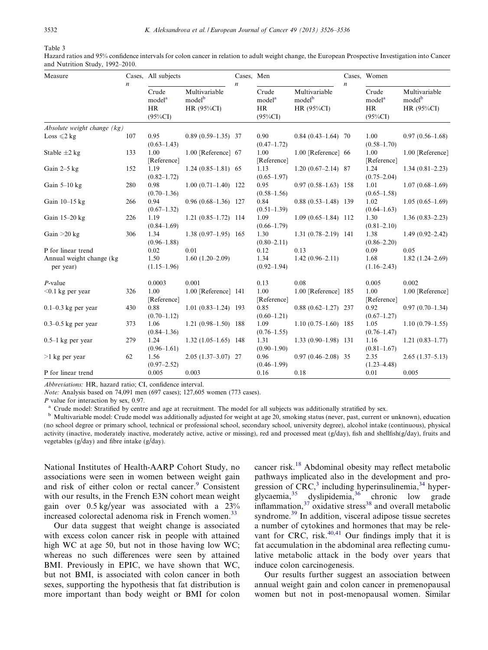| Measure                               | $\boldsymbol{n}$ | Cases, All subjects                                    |                                                   | Cases, Men<br>$\boldsymbol{n}$ |                                                        |                                                   |                  | Cases, Women                                           |                                                   |
|---------------------------------------|------------------|--------------------------------------------------------|---------------------------------------------------|--------------------------------|--------------------------------------------------------|---------------------------------------------------|------------------|--------------------------------------------------------|---------------------------------------------------|
|                                       |                  | Crude<br>model <sup>a</sup><br><b>HR</b><br>$(95\%CI)$ | Multivariable<br>model <sup>b</sup><br>HR (95%CI) |                                | Crude<br>model <sup>a</sup><br><b>HR</b><br>$(95\%CI)$ | Multivariable<br>model <sup>b</sup><br>HR (95%CI) | $\boldsymbol{n}$ | Crude<br>model <sup>a</sup><br><b>HR</b><br>$(95\%CI)$ | Multivariable<br>model <sup>b</sup><br>HR (95%CI) |
| Absolute weight change $(kg)$         |                  |                                                        |                                                   |                                |                                                        |                                                   |                  |                                                        |                                                   |
| Loss $\leq 2$ kg                      | 107              | 0.95<br>$(0.63 - 1.43)$                                | $0.89(0.59-1.35)$ 37                              |                                | 0.90<br>$(0.47 - 1.72)$                                | $0.84(0.43-1.64)$ 70                              |                  | 1.00<br>$(0.58 - 1.70)$                                | $0.97(0.56-1.68)$                                 |
| Stable $\pm 2$ kg                     | 133              | 1.00<br>[Reference]                                    | 1.00 [Reference] 67                               |                                | 1.00<br>[Reference]                                    | 1.00 [Reference] 66                               |                  | 1.00<br>[Reference]                                    | 1.00 [Reference]                                  |
| Gain $2-5$ kg                         | 152              | 1.19<br>$(0.82 - 1.72)$                                | $1.24(0.85-1.81)$ 65                              |                                | 1.13<br>$(0.65 - 1.97)$                                | $1.20(0.67 - 2.14)$ 87                            |                  | 1.24<br>$(0.75 - 2.04)$                                | $1.34(0.81 - 2.23)$                               |
| Gain $5-10$ kg                        | 280              | 0.98<br>$(0.70 - 1.36)$                                | $1.00(0.71-1.40)$ 122                             |                                | 0.95<br>$(0.58 - 1.56)$                                | $0.97(0.58 - 1.63)$ 158                           |                  | 1.01<br>$(0.65 - 1.58)$                                | $1.07(0.68 - 1.69)$                               |
| Gain $10-15$ kg                       | 266              | 0.94<br>$(0.67-1.32)$                                  | $0.96(0.68 - 1.36)$ 127                           |                                | 0.84<br>$(0.51-1.39)$                                  | $0.88(0.53 - 1.48)$ 139                           |                  | 1.02<br>$(0.64 - 1.63)$                                | $1.05(0.65-1.69)$                                 |
| Gain 15-20 kg                         | 226              | 1.19<br>$(0.84 - 1.69)$                                | $1.21(0.85-1.72)$ 114                             |                                | 1.09<br>$(0.66 - 1.79)$                                | $1.09(0.65-1.84)$ 112                             |                  | 1.30<br>$(0.81 - 2.10)$                                | $1.36(0.83 - 2.23)$                               |
| Gain >20 kg                           | 306              | 1.34<br>$(0.96 - 1.88)$                                | $1.38(0.97-1.95)$ 165                             |                                | 1.30<br>$(0.80 - 2.11)$                                | $1.31(0.78 - 2.19)$ 141                           |                  | 1.38<br>$(0.86 - 2.20)$                                | $1.49(0.92 - 2.42)$                               |
| P for linear trend                    |                  | 0.02                                                   | 0.01                                              |                                | 0.12                                                   | 0.13                                              |                  | 0.09                                                   | 0.05                                              |
| Annual weight change (kg<br>per year) |                  | 1.50<br>$(1.15-1.96)$                                  | $1.60(1.20-2.09)$                                 |                                | 1.34<br>$(0.92 - 1.94)$                                | $1.42(0.96-2.11)$                                 |                  | 1.68<br>$(1.16 - 2.43)$                                | $1.82(1.24 - 2.69)$                               |
| $P$ -value                            |                  | 0.0003                                                 | 0.001                                             |                                | 0.13                                                   | 0.08                                              |                  | 0.005                                                  | 0.002                                             |
| $\leq 0.1$ kg per year                | 326              | 1.00<br>[Reference]                                    | 1.00 [Reference] 141                              |                                | 1.00<br>[Reference]                                    | 1.00 [Reference] 185                              |                  | 1.00<br>[Reference]                                    | 1.00 [Reference]                                  |
| $0.1-0.3$ kg per year                 | 430              | 0.88<br>$(0.70 - 1.12)$                                | $1.01(0.83 - 1.24)$ 193                           |                                | 0.85<br>$(0.60 - 1.21)$                                | $0.88(0.62 - 1.27)$ 237                           |                  | 0.92<br>$(0.67-1.27)$                                  | $0.97(0.70-1.34)$                                 |
| $0.3-0.5$ kg per year                 | 373              | 1.06<br>$(0.84 - 1.36)$                                | $1.21(0.98 - 1.50)$ 188                           |                                | 1.09<br>$(0.76 - 1.55)$                                | $1.10(0.75-1.60)$ 185                             |                  | 1.05<br>$(0.76 - 1.47)$                                | $1.10(0.79-1.55)$                                 |
| $0.5-1$ kg per year                   | 279              | 1.24<br>$(0.96 - 1.61)$                                | $1.32(1.05-1.65)$ 148                             |                                | 1.31<br>$(0.90-1.90)$                                  | $1.33(0.90 - 1.98)$ 131                           |                  | 1.16<br>$(0.81 - 1.67)$                                | $1.21(0.83 - 1.77)$                               |
| $>1$ kg per year                      | 62               | 1.56<br>$(0.97 - 2.52)$                                | $2.05(1.37-3.07)$ 27                              |                                | 0.96<br>$(0.46 - 1.99)$                                | $0.97(0.46 - 2.08)$ 35                            |                  | 2.35<br>$(1.23 - 4.48)$                                | $2.65(1.37-5.13)$                                 |
| P for linear trend                    |                  | 0.005                                                  | 0.003                                             |                                | 0.16                                                   | 0.18                                              |                  | 0.01                                                   | 0.005                                             |

<span id="page-6-0"></span>Hazard ratios and 95% confidence intervals for colon cancer in relation to adult weight change, the European Prospective Investigation into Cancer and Nutrition Study, 1992–2010.

Abbreviations: HR, hazard ratio; CI, confidence interval.

Note: Analysis based on 74,091 men (697 cases); 127,605 women (773 cases).

P value for interaction by sex, 0.97.

<sup>a</sup> Crude model: Stratified by centre and age at recruitment. The model for all subjects was additionally stratified by sex.

<sup>b</sup> Multivariable model: Crude model was additionally adjusted for weight at age 20, smoking status (never, past, current or unknown), education (no school degree or primary school, technical or professional school, secondary school, university degree), alcohol intake (continuous), physical activity (inactive, moderately inactive, moderately active, active or missing), red and processed meat (g/day), fish and shellfish(g/day), fruits and vegetables (g/day) and fibre intake (g/day).

National Institutes of Health-AARP Cohort Study, no associations were seen in women between weight gain and risk of either colon or rectal cancer.<sup>[9](#page-9-0)</sup> Consistent with our results, in the French E3N cohort mean weight gain over 0.5 kg/year was associated with a 23% increased colorectal adenoma risk in French women.<sup>[33](#page-9-0)</sup>

Our data suggest that weight change is associated with excess colon cancer risk in people with attained high WC at age 50, but not in those having low WC; whereas no such differences were seen by attained BMI. Previously in EPIC, we have shown that WC, but not BMI, is associated with colon cancer in both sexes, supporting the hypothesis that fat distribution is more important than body weight or BMI for colon

cancer risk.[18](#page-9-0) Abdominal obesity may reflect metabolic pathways implicated also in the development and progression of  $CRC$ ,<sup>[3](#page-8-0)</sup> including hyperinsulinemia,<sup>[34](#page-9-0)</sup> hyperglycaemia,  $35$  dyslipidemia,  $36$  chronic low grade inflammation, $37 \text{ oxidative stress}^{38}$  $37 \text{ oxidative stress}^{38}$  and overall metabolic syndrome.<sup>[39](#page-9-0)</sup> In addition, visceral adipose tissue secretes a number of cytokines and hormones that may be relevant for CRC, risk. $40,41$  Our findings imply that it is fat accumulation in the abdominal area reflecting cumulative metabolic attack in the body over years that induce colon carcinogenesis.

Our results further suggest an association between annual weight gain and colon cancer in premenopausal women but not in post-menopausal women. Similar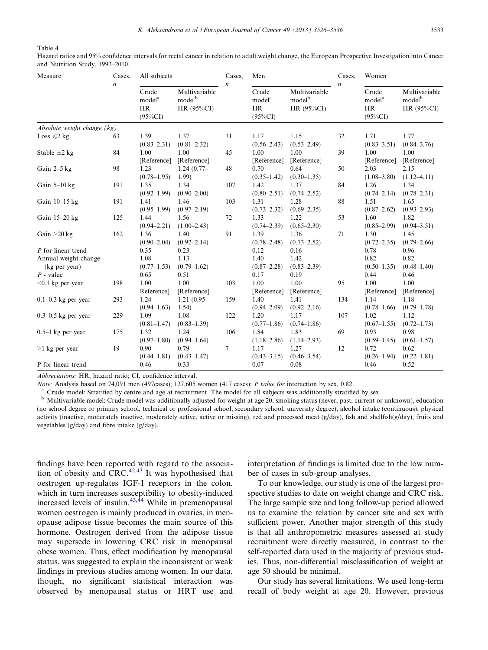<span id="page-7-0"></span>Hazard ratios and 95% confidence intervals for rectal cancer in relation to adult weight change, the European Prospective Investigation into Cancer and Nutrition Study, 1992–2010.

| Measure                                    | Cases,<br>$\boldsymbol{n}$ | All subjects                                           |                                                   | Cases,<br>$\boldsymbol{n}$ | Men                                                    |                                                   |                  | Women                                 |                                                      |
|--------------------------------------------|----------------------------|--------------------------------------------------------|---------------------------------------------------|----------------------------|--------------------------------------------------------|---------------------------------------------------|------------------|---------------------------------------|------------------------------------------------------|
|                                            |                            | Crude<br>model <sup>a</sup><br><b>HR</b><br>$(95\%CI)$ | Multivariable<br>model <sup>b</sup><br>HR (95%CI) |                            | Crude<br>model <sup>a</sup><br><b>HR</b><br>$(95\%CI)$ | Multivariable<br>model <sup>b</sup><br>HR (95%CI) | $\boldsymbol{n}$ | Crude<br>$modela$<br>HR<br>$(95\%CI)$ | Multivariable<br>model <sup>b</sup><br>HR $(95\%CI)$ |
| Absolute weight change (kg)                |                            |                                                        |                                                   |                            |                                                        |                                                   |                  |                                       |                                                      |
| $Loss \le 2 kg$                            | 63                         | 1.39<br>$(0.83 - 2.31)$                                | 1.37<br>$(0.81 - 2.32)$                           | 31                         | 1.17<br>$(0.56 - 2.43)$                                | 1.15<br>$(0.53 - 2.49)$                           | 32               | 1.71<br>$(0.83 - 3.51)$               | 1.77<br>$(0.84 - 3.76)$                              |
| Stable $\pm 2$ kg                          | 84                         | 1.00<br>[Reference]                                    | 1.00<br>[Reference]                               | 45                         | 1.00<br>[Reference]                                    | 1.00<br>[Reference]                               | 39               | 1.00<br>[Reference]                   | 1.00<br>[Reference]                                  |
| Gain $2-5$ kg                              | 98                         | 1.23<br>$(0.78 - 1.95)$                                | $1.24(0.77-$<br>1.99                              | 48                         | 0.70<br>$(0.35 - 1.42)$                                | 0.64<br>$(0.30 - 1.35)$                           | 50               | 2.03<br>$(1.08 - 3.80)$               | 2.15<br>$(1.12 - 4.11)$                              |
| Gain $5-10$ kg                             | 191                        | 1.35<br>$(0.92 - 1.99)$                                | 1.34<br>$(0.90 - 2.00)$                           | 107                        | 1.42<br>$(0.80 - 2.51)$                                | 1.37<br>$(0.74 - 2.52)$                           | 84               | 1.26<br>$(0.74 - 2.14)$               | 1.34<br>$(0.78 - 2.31)$                              |
| Gain $10-15$ kg                            | 191                        | 1.41<br>$(0.95-1.99)$                                  | 1.46<br>$(0.97 - 2.19)$                           | 103                        | 1.31<br>$(0.73 - 2.32)$                                | 1.28<br>$(0.69 - 2.35)$                           | 88               | 1.51<br>$(0.87 - 2.62)$               | 1.65<br>$(0.93 - 2.93)$                              |
| Gain 15-20 kg                              | 125                        | 1.44<br>$(0.94 - 2.21)$                                | 1.56<br>$(1.00-2.43)$                             | 72                         | 1.33<br>$(0.74 - 2.39)$                                | 1.22<br>$(0.65 - 2.30)$                           | 53               | 1.60<br>$(0.85 - 2.99)$               | 1.82<br>$(0.94 - 3.51)$                              |
| Gain $>20$ kg                              | 162                        | 1.36<br>$(0.90 - 2.04)$                                | 1.40<br>$(0.92 - 2.14)$                           | 91                         | 1.39<br>$(0.78 - 2.48)$                                | 1.36<br>$(0.73 - 2.52)$                           | 71               | 1.30<br>$(0.72 - 2.35)$               | 1.45<br>$(0.79 - 2.66)$                              |
| P for linear trend<br>Annual weight change |                            | 0.35<br>1.08                                           | 0.23<br>1.13                                      |                            | 0.12<br>1.40                                           | 0.16<br>1.42                                      |                  | 0.78<br>0.82                          | 0.96<br>0.82                                         |
| (kg per year)<br>$P$ - value               |                            | $(0.77-1.53)$<br>0.65                                  | $(0.79-1.62)$<br>0.51                             |                            | $(0.87 - 2.28)$<br>0.17                                | $(0.83 - 2.39)$<br>0.19                           |                  | $(0.50 - 1.35)$<br>0.44               | $(0.48 - 1.40)$<br>0.46                              |
| $< 0.1$ kg per year                        | 198                        | 1.00<br>Reference]                                     | 1.00<br>[Reference]                               | 103                        | 1.00<br>[Reference]                                    | 1.00<br>[Reference]                               | 95               | 1.00<br>[Reference]                   | 1.00<br>[Reference]                                  |
| $0.1-0.3$ kg per year                      | 293                        | 1.24<br>$(0.94 - 1.63)$                                | $1.21(0.95 -$<br>1.54)                            | 159                        | 1.40<br>$(0.94 - 2.09)$                                | 1.41<br>$(0.92 - 2.16)$                           | 134              | 1.14<br>$(0.78 - 1.66)$               | 1.18<br>$(0.79 - 1.78)$                              |
| $0.3-0.5$ kg per year                      | 229                        | 1.09<br>$(0.81 - 1.47)$                                | 1.08<br>$(0.83 - 1.39)$                           | 122                        | 1.20<br>$(0.77-1.86)$                                  | 1.17<br>$(0.74 - 1.86)$                           | 107              | 1.02<br>$(0.67-1.55)$                 | 1.12<br>$(0.72 - 1.73)$                              |
| $0.5-1$ kg per year                        | 175                        | 1.32<br>$(0.97-1.80)$                                  | 1.24<br>$(0.94 - 1.64)$                           | 106                        | 1.84<br>$(1.18 - 2.86)$                                | 1.83<br>$(1.14 - 2.93)$                           | 69               | 0.93<br>$(0.59 - 1.45)$               | 0.98<br>$(0.61 - 1.57)$                              |
| $>1$ kg per year                           | 19                         | 0.90<br>$(0.44 - 1.81)$                                | 0.79<br>$(0.43 - 1.47)$                           | 7                          | 1.17<br>$(0.43 - 3.15)$                                | 1.27<br>$(0.46 - 3.54)$                           | 12               | 0.72<br>$(0.26 - 1.94)$               | 0.62<br>$(0.22 - 1.81)$                              |
| P for linear trend                         |                            | 0.46                                                   | 0.33                                              |                            | 0.07                                                   | 0.08                                              |                  | 0.46                                  | 0.52                                                 |

Abbreviations: HR, hazard ratio; CI, confidence interval.

*Note:* Analysis based on 74,091 men (497cases); 127,605 women (417 cases); *P value for* interaction by sex, 0.82.<br><sup>a</sup> Crude model: Stratified by centre and age at recruitment. The model for all subjects was additionally

<sup>b</sup> Multivariable model: Crude model was additionally adjusted for weight at age 20, smoking status (never, past, current or unknown), education (no school degree or primary school, technical or professional school, secondary school, university degree), alcohol intake (continuous), physical activity (inactive, moderately inactive, moderately active, active or missing), red and processed meat ( $g$ /day), fish and shellfish( $g$ /day), fruits and vegetables (g/day) and fibre intake (g/day).

findings have been reported with regard to the association of obesity and  $\text{CRC}$ .<sup>[42,43](#page-9-0)</sup> It was hypothesised that oestrogen up-regulates IGF-I receptors in the colon, which in turn increases susceptibility to obesity-induced increased levels of insulin.[43,44](#page-9-0) While in premenopausal women oestrogen is mainly produced in ovaries, in menopause adipose tissue becomes the main source of this hormone. Oestrogen derived from the adipose tissue may supersede in lowering CRC risk in menopausal obese women. Thus, effect modification by menopausal status, was suggested to explain the inconsistent or weak findings in previous studies among women. In our data, though, no significant statistical interaction was observed by menopausal status or HRT use and

interpretation of findings is limited due to the low number of cases in sub-group analyses.

To our knowledge, our study is one of the largest prospective studies to date on weight change and CRC risk. The large sample size and long follow-up period allowed us to examine the relation by cancer site and sex with sufficient power. Another major strength of this study is that all anthropometric measures assessed at study recruitment were directly measured, in contrast to the self-reported data used in the majority of previous studies. Thus, non-differential misclassification of weight at age 50 should be minimal.

Our study has several limitations. We used long-term recall of body weight at age 20. However, previous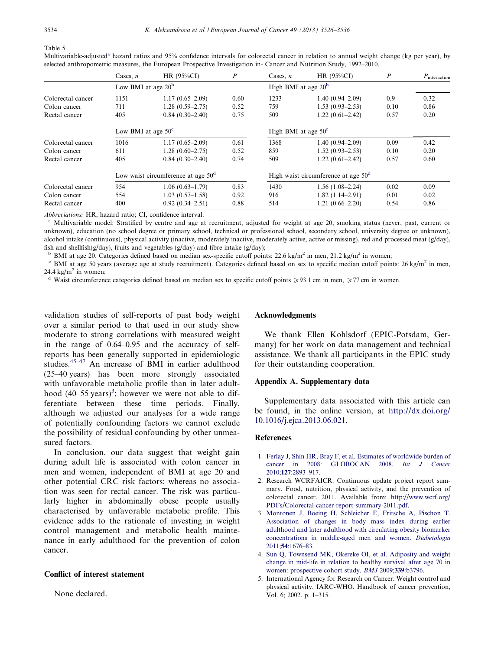<span id="page-8-0"></span>Multivariable-adjusted<sup>a</sup> hazard ratios and 95% confidence intervals for colorectal cancer in relation to annual weight change (kg per year), by selected anthropometric measures, the European Prospective Investigation in- Cancer and Nutrition Study, 1992–2010.

|                   | Cases, $n$                  | HR $(95\%CI)$                        | $\boldsymbol{P}$ | Cases, $n$                   | HR $(95\%CI)$                         | $\boldsymbol{P}$ | $\boldsymbol{P}_{\text{interaction}}$ |
|-------------------|-----------------------------|--------------------------------------|------------------|------------------------------|---------------------------------------|------------------|---------------------------------------|
|                   | Low BMI at age $20^b$       |                                      |                  | High BMI at age $20^b$       |                                       |                  |                                       |
| Colorectal cancer | 1151                        | $1.17(0.65 - 2.09)$                  | 0.60             | 1233                         | $1.40(0.94 - 2.09)$                   | 0.9              | 0.32                                  |
| Colon cancer      | 711                         | $1.28(0.59-2.75)$                    | 0.52             | 759                          | $1.53(0.93 - 2.53)$                   | 0.10             | 0.86                                  |
| Rectal cancer     | 405                         | $0.84(0.30-2.40)$                    | 0.75             | 509                          | $1.22(0.61-2.42)$                     | 0.57             | 0.20                                  |
|                   | Low BMI at age $50^{\circ}$ |                                      |                  | High BMI at age $50^{\circ}$ |                                       |                  |                                       |
| Colorectal cancer | 1016                        | $1.17(0.65 - 2.09)$                  | 0.61             | 1368                         | $1.40(0.94 - 2.09)$                   | 0.09             | 0.42                                  |
| Colon cancer      | 611                         | $1.28(0.60-2.75)$                    | 0.52             | 859                          | $1.52(0.93 - 2.53)$                   | 0.10             | 0.20                                  |
| Rectal cancer     | 405                         | $0.84(0.30-2.40)$                    | 0.74             | 509                          | $1.22(0.61-2.42)$                     | 0.57             | 0.60                                  |
|                   |                             | Low waist circumference at age $50d$ |                  |                              | High waist circumference at age $50d$ |                  |                                       |
| Colorectal cancer | 954                         | $1.06(0.63-1.79)$                    | 0.83             | 1430                         | $1.56(1.08-2.24)$                     | 0.02             | 0.09                                  |
| Colon cancer      | 554                         | $1.03(0.57-1.58)$                    | 0.92             | 916                          | $1.82(1.14 - 2.91)$                   | 0.01             | 0.02                                  |
| Rectal cancer     | 400                         | $0.92(0.34 - 2.51)$                  | 0.88             | 514                          | $1.21(0.66 - 2.20)$                   | 0.54             | 0.86                                  |

Abbreviations: HR, hazard ratio; CI, confidence interval.

<sup>a</sup> Multivariable model: Stratified by centre and age at recruitment, adjusted for weight at age 20, smoking status (never, past, current or unknown), education (no school degree or primary school, technical or professional school, secondary school, university degree or unknown), alcohol intake (continuous), physical activity (inactive, moderately inactive, moderately active, active or missing), red and processed meat (g/day), fish and shellfish(g/day), fruits and vegetables (g/day) and fibre intake (g/day);<br><sup>b</sup> BMI at age 20. Categories defined based on median sex-specific cutoff points: 22.6 kg/m<sup>2</sup> in men, 21.2 kg/m<sup>2</sup> in women;

<sup>c</sup> BMI at age 50 years (average age at study recruitment). Categories defined based on sex to specific median cutoff points: 26 kg/m<sup>2</sup> in men, 24.4 kg/m<sup>2</sup> in women;<br><sup>d</sup> Waist circumference categories defined based on median sex to specific cutoff points  $\geq 93.1$  cm in men,  $\geq 77$  cm in women.

validation studies of self-reports of past body weight over a similar period to that used in our study show moderate to strong correlations with measured weight in the range of 0.64–0.95 and the accuracy of selfreports has been generally supported in epidemiologic studies.[45–47](#page-9-0) An increase of BMI in earlier adulthood (25–40 years) has been more strongly associated with unfavorable metabolic profile than in later adulthood  $(40-55 \text{ years})^3$ ; however we were not able to differentiate between these time periods. Finally, although we adjusted our analyses for a wide range of potentially confounding factors we cannot exclude the possibility of residual confounding by other unmeasured factors.

In conclusion, our data suggest that weight gain during adult life is associated with colon cancer in men and women, independent of BMI at age 20 and other potential CRC risk factors; whereas no association was seen for rectal cancer. The risk was particularly higher in abdominally obese people usually characterised by unfavorable metabolic profile. This evidence adds to the rationale of investing in weight control management and metabolic health maintenance in early adulthood for the prevention of colon cancer.

## Conflict of interest statement

None declared.

## Acknowledgments

We thank Ellen Kohlsdorf (EPIC-Potsdam, Germany) for her work on data management and technical assistance. We thank all participants in the EPIC study for their outstanding cooperation.

# Appendix A. Supplementary data

Supplementary data associated with this article can be found, in the online version, at [http://dx.doi.org/](http://dx.doi.org/10.1016/j.ejca.2013.06.021) [10.1016/j.ejca.2013.06.021.](http://dx.doi.org/10.1016/j.ejca.2013.06.021)

# **References**

- 1. [Ferlay J, Shin HR, Bray F, et al. Estimates of worldwide burden of](http://refhub.elsevier.com/S0959-8049(13)00496-6/h0005) [cancer in 2008: GLOBOCAN 2008.](http://refhub.elsevier.com/S0959-8049(13)00496-6/h0005) Int J Cancer 2010;127[:2893–917](http://refhub.elsevier.com/S0959-8049(13)00496-6/h0005).
- 2. Research WCRFAICR. Continuous update project report summary. Food, nutrition, physical activity, and the prevention of colorectal cancer. 2011. Available from: [http://www.wcrf.org/](http://www.wcrf.org/PDFs/Colorectal-cancer-report-summary-2011.pdf) [PDFs/Colorectal-cancer-report-summary-2011.pdf.](http://www.wcrf.org/PDFs/Colorectal-cancer-report-summary-2011.pdf)
- 3. [Montonen J, Boeing H, Schleicher E, Fritsche A, Pischon T.](http://refhub.elsevier.com/S0959-8049(13)00496-6/h0010) [Association of changes in body mass index during earlier](http://refhub.elsevier.com/S0959-8049(13)00496-6/h0010) [adulthood and later adulthood with circulating obesity biomarker](http://refhub.elsevier.com/S0959-8049(13)00496-6/h0010) [concentrations in middle-aged men and women.](http://refhub.elsevier.com/S0959-8049(13)00496-6/h0010) Diabetologia 2011;54[:1676–83](http://refhub.elsevier.com/S0959-8049(13)00496-6/h0010).
- 4. [Sun Q, Townsend MK, Okereke OI, et al. Adiposity and weight](http://refhub.elsevier.com/S0959-8049(13)00496-6/h0015) [change in mid-life in relation to healthy survival after age 70 in](http://refhub.elsevier.com/S0959-8049(13)00496-6/h0015) [women: prospective cohort study.](http://refhub.elsevier.com/S0959-8049(13)00496-6/h0015) BMJ 2009;339:b3796.
- 5. International Agency for Research on Cancer. Weight control and physical activity. IARC-WHO. Handbook of cancer prevention, Vol. 6; 2002. p. 1–315.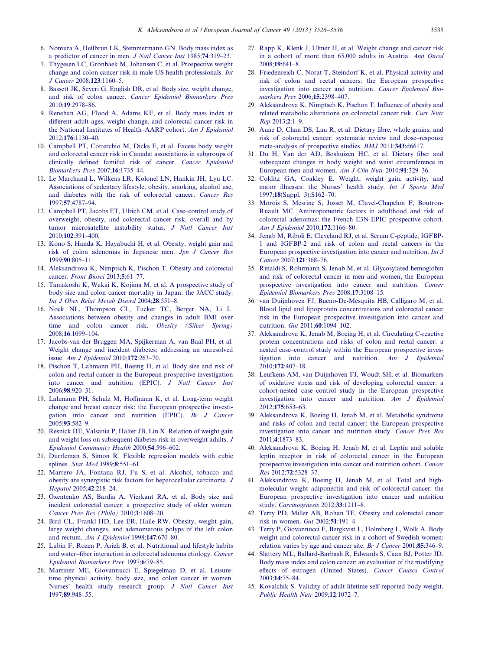- <span id="page-9-0"></span>6. [Nomura A, Heilbrun LK, Stemmermann GN. Body mass index as](http://refhub.elsevier.com/S0959-8049(13)00496-6/h0020) [a predictor of cancer in men.](http://refhub.elsevier.com/S0959-8049(13)00496-6/h0020) J Natl Cancer Inst 1985;74:319–23.
- 7. [Thygesen LC, Gronbaek M, Johansen C, et al. Prospective weight](http://refhub.elsevier.com/S0959-8049(13)00496-6/h0025) [change and colon cancer risk in male US health professionals.](http://refhub.elsevier.com/S0959-8049(13)00496-6/h0025) Int [J Cancer](http://refhub.elsevier.com/S0959-8049(13)00496-6/h0025) 2008;123:1160–5.
- 8. [Bassett JK, Severi G, English DR, et al. Body size, weight change,](http://refhub.elsevier.com/S0959-8049(13)00496-6/h0030) and risk of colon cancer. [Cancer Epidemiol Biomarkers Prev](http://refhub.elsevier.com/S0959-8049(13)00496-6/h0030) 2010;19[:2978–86.](http://refhub.elsevier.com/S0959-8049(13)00496-6/h0030)
- 9. [Renehan AG, Flood A, Adams KF, et al. Body mass index at](http://refhub.elsevier.com/S0959-8049(13)00496-6/h0035) [different adult ages, weight change, and colorectal cancer risk in](http://refhub.elsevier.com/S0959-8049(13)00496-6/h0035) [the National Institutes of Health–AARP cohort.](http://refhub.elsevier.com/S0959-8049(13)00496-6/h0035) Am J Epidemiol 2012;176[:1130–40.](http://refhub.elsevier.com/S0959-8049(13)00496-6/h0035)
- 10. [Campbell PT, Cotterchio M, Dicks E, et al. Excess body weight](http://refhub.elsevier.com/S0959-8049(13)00496-6/h0040) [and colorectal cancer risk in Canada: associations in subgroups of](http://refhub.elsevier.com/S0959-8049(13)00496-6/h0040) [clinically defined familial risk of cancer.](http://refhub.elsevier.com/S0959-8049(13)00496-6/h0040) Cancer Epidemiol [Biomarkers Prev](http://refhub.elsevier.com/S0959-8049(13)00496-6/h0040) 2007;16:1735–44.
- 11. [Le Marchand L, Wilkens LR, Kolonel LN, Hankin JH, Lyu LC.](http://refhub.elsevier.com/S0959-8049(13)00496-6/h0045) [Associations of sedentary lifestyle, obesity, smoking, alcohol use,](http://refhub.elsevier.com/S0959-8049(13)00496-6/h0045) [and diabetes with the risk of colorectal cancer.](http://refhub.elsevier.com/S0959-8049(13)00496-6/h0045) Cancer Res 1997;57[:4787–94.](http://refhub.elsevier.com/S0959-8049(13)00496-6/h0045)
- 12. [Campbell PT, Jacobs ET, Ulrich CM, et al. Case–control study of](http://refhub.elsevier.com/S0959-8049(13)00496-6/h0050) [overweight, obesity, and colorectal cancer risk, overall and by](http://refhub.elsevier.com/S0959-8049(13)00496-6/h0050) [tumor microsatellite instability status.](http://refhub.elsevier.com/S0959-8049(13)00496-6/h0050) J Natl Cancer Inst 2010;102[:391–400.](http://refhub.elsevier.com/S0959-8049(13)00496-6/h0050)
- 13. [Kono S, Handa K, Hayabuchi H, et al. Obesity, weight gain and](http://refhub.elsevier.com/S0959-8049(13)00496-6/h0055) [risk of colon adenomas in Japanese men.](http://refhub.elsevier.com/S0959-8049(13)00496-6/h0055) Jpn J Cancer Res 1999;90[:805–11.](http://refhub.elsevier.com/S0959-8049(13)00496-6/h0055)
- 14. [Aleksandrova K, Nimptsch K, Pischon T. Obesity and colorectal](http://refhub.elsevier.com/S0959-8049(13)00496-6/h0060) cancer. [Front Biosci](http://refhub.elsevier.com/S0959-8049(13)00496-6/h0060) 2013;5:61–77.
- 15. [Tamakoshi K, Wakai K, Kojima M, et al. A prospective study of](http://refhub.elsevier.com/S0959-8049(13)00496-6/h0065) [body size and colon cancer mortality in Japan: the JACC study.](http://refhub.elsevier.com/S0959-8049(13)00496-6/h0065) [Int J Obes Relat Metab Disord](http://refhub.elsevier.com/S0959-8049(13)00496-6/h0065) 2004;28:551–8.
- 16. [Nock NL, Thompson CL, Tucker TC, Berger NA, Li L.](http://refhub.elsevier.com/S0959-8049(13)00496-6/h0070) [Associations between obesity and changes in adult BMI over](http://refhub.elsevier.com/S0959-8049(13)00496-6/h0070) [time and colon cancer risk.](http://refhub.elsevier.com/S0959-8049(13)00496-6/h0070) Obesity (Silver Spring) 2008;16[:1099–104.](http://refhub.elsevier.com/S0959-8049(13)00496-6/h0070)
- 17. [Jacobs-van der Bruggen MA, Spijkerman A, van Baal PH, et al.](http://refhub.elsevier.com/S0959-8049(13)00496-6/h0075) [Weight change and incident diabetes: addressing an unresolved](http://refhub.elsevier.com/S0959-8049(13)00496-6/h0075) issue. [Am J Epidemiol](http://refhub.elsevier.com/S0959-8049(13)00496-6/h0075) 2010;172:263–70.
- 18. [Pischon T, Lahmann PH, Boeing H, et al. Body size and risk of](http://refhub.elsevier.com/S0959-8049(13)00496-6/h0080) [colon and rectal cancer in the European prospective investigation](http://refhub.elsevier.com/S0959-8049(13)00496-6/h0080) [into cancer and nutrition \(EPIC\).](http://refhub.elsevier.com/S0959-8049(13)00496-6/h0080) J Natl Cancer Inst 2006;98[:920–31.](http://refhub.elsevier.com/S0959-8049(13)00496-6/h0080)
- 19. [Lahmann PH, Schulz M, Hoffmann K, et al. Long-term weight](http://refhub.elsevier.com/S0959-8049(13)00496-6/h0085) [change and breast cancer risk: the European prospective investi](http://refhub.elsevier.com/S0959-8049(13)00496-6/h0085)[gation into cancer and nutrition \(EPIC\).](http://refhub.elsevier.com/S0959-8049(13)00496-6/h0085) Br J Cancer 2005;93[:582–9.](http://refhub.elsevier.com/S0959-8049(13)00496-6/h0085)
- 20. [Resnick HE, Valsania P, Halter JB, Lin X. Relation of weight gain](http://refhub.elsevier.com/S0959-8049(13)00496-6/h0090) [and weight loss on subsequent diabetes risk in overweight adults.](http://refhub.elsevier.com/S0959-8049(13)00496-6/h0090) J [Epidemiol Community Health](http://refhub.elsevier.com/S0959-8049(13)00496-6/h0090) 2000;54:596–602.
- 21. [Durrleman S, Simon R. Flexible regression models with cubic](http://refhub.elsevier.com/S0959-8049(13)00496-6/h0095) splines. [Stat Med](http://refhub.elsevier.com/S0959-8049(13)00496-6/h0095) 1989;8:551–61.
- 22. [Marrero JA, Fontana RJ, Fu S, et al. Alcohol, tobacco and](http://refhub.elsevier.com/S0959-8049(13)00496-6/h0100) [obesity are synergistic risk factors for hepatocellular carcinoma.](http://refhub.elsevier.com/S0959-8049(13)00496-6/h0100) J [Hepatol](http://refhub.elsevier.com/S0959-8049(13)00496-6/h0100) 2005;42:218–24.
- 23. [Oxentenko AS, Bardia A, Vierkant RA, et al. Body size and](http://refhub.elsevier.com/S0959-8049(13)00496-6/h0105) [incident colorectal cancer: a prospective study of older women.](http://refhub.elsevier.com/S0959-8049(13)00496-6/h0105) [Cancer Prev Res \(Phila\)](http://refhub.elsevier.com/S0959-8049(13)00496-6/h0105) 2010;3:1608–20.
- 24. [Bird CL, Frankl HD, Lee ER, Haile RW. Obesity, weight gain,](http://refhub.elsevier.com/S0959-8049(13)00496-6/h0110) [large weight changes, and adenomatous polyps of the left colon](http://refhub.elsevier.com/S0959-8049(13)00496-6/h0110) and rectum. [Am J Epidemiol](http://refhub.elsevier.com/S0959-8049(13)00496-6/h0110) 1998;147:670–80.
- 25. [Lubin F, Rozen P, Arieli B, et al. Nutritional and lifestyle habits](http://refhub.elsevier.com/S0959-8049(13)00496-6/h0115) [and water–fiber interaction in colorectal adenoma etiology.](http://refhub.elsevier.com/S0959-8049(13)00496-6/h0115) Cancer [Epidemiol Biomarkers Prev](http://refhub.elsevier.com/S0959-8049(13)00496-6/h0115) 1997;6:79–85.
- 26. [Martinez ME, Giovannucci E, Spiegelman D, et al. Leisure](http://refhub.elsevier.com/S0959-8049(13)00496-6/h0120)[time physical activity, body size, and colon cancer in women.](http://refhub.elsevier.com/S0959-8049(13)00496-6/h0120) [Nurses' health study research group.](http://refhub.elsevier.com/S0959-8049(13)00496-6/h0120) J Natl Cancer Inst 1997;89[:948–55.](http://refhub.elsevier.com/S0959-8049(13)00496-6/h0120)
- 27. [Rapp K, Klenk J, Ulmer H, et al. Weight change and cancer risk](http://refhub.elsevier.com/S0959-8049(13)00496-6/h0125) [in a cohort of more than 65,000 adults in Austria.](http://refhub.elsevier.com/S0959-8049(13)00496-6/h0125) Ann Oncol 2008;19[:641–8.](http://refhub.elsevier.com/S0959-8049(13)00496-6/h0125)
- 28. [Friedenreich C, Norat T, Steindorf K, et al. Physical activity and](http://refhub.elsevier.com/S0959-8049(13)00496-6/h0130) [risk of colon and rectal cancers: the European prospective](http://refhub.elsevier.com/S0959-8049(13)00496-6/h0130) [investigation into cancer and nutrition.](http://refhub.elsevier.com/S0959-8049(13)00496-6/h0130) Cancer Epidemiol Bio[markers Prev](http://refhub.elsevier.com/S0959-8049(13)00496-6/h0130) 2006;15:2398–407.
- 29. [Aleksandrova K, Nimptsch K, Pischon T. Influence of obesity and](http://refhub.elsevier.com/S0959-8049(13)00496-6/h0135) [related metabolic alterations on colorectal cancer risk.](http://refhub.elsevier.com/S0959-8049(13)00496-6/h0135) Curr Nutr Rep [2013;](http://refhub.elsevier.com/S0959-8049(13)00496-6/h0135)2:1–9.
- 30. [Aune D, Chan DS, Lau R, et al. Dietary fibre, whole grains, and](http://refhub.elsevier.com/S0959-8049(13)00496-6/h0140) [risk of colorectal cancer: systematic review and dose–response](http://refhub.elsevier.com/S0959-8049(13)00496-6/h0140) [meta-analysis of prospective studies.](http://refhub.elsevier.com/S0959-8049(13)00496-6/h0140) BMJ 2011;343:d6617.
- 31. [Du H, Van der AD, Boshuizen HC, et al. Dietary fiber and](http://refhub.elsevier.com/S0959-8049(13)00496-6/h0145) [subsequent changes in body weight and waist circumference in](http://refhub.elsevier.com/S0959-8049(13)00496-6/h0145) [European men and women.](http://refhub.elsevier.com/S0959-8049(13)00496-6/h0145) Am J Clin Nutr 2010;91:329–36.
- 32. [Colditz GA, Coakley E. Weight, weight gain, activity, and](http://refhub.elsevier.com/S0959-8049(13)00496-6/h0150) [major illnesses: the Nurses' health study.](http://refhub.elsevier.com/S0959-8049(13)00496-6/h0150) Int J Sports Med 1997;18[\(Suppl. 3\):S162–70](http://refhub.elsevier.com/S0959-8049(13)00496-6/h0150).
- 33. [Morois S, Mesrine S, Josset M, Clavel-Chapelon F, Boutron-](http://refhub.elsevier.com/S0959-8049(13)00496-6/h0155)[Ruault MC. Anthropometric factors in adulthood and risk of](http://refhub.elsevier.com/S0959-8049(13)00496-6/h0155) [colorectal adenomas: the French E3N-EPIC prospective cohort.](http://refhub.elsevier.com/S0959-8049(13)00496-6/h0155) [Am J Epidemiol](http://refhub.elsevier.com/S0959-8049(13)00496-6/h0155) 2010;172:1166–80.
- 34. [Jenab M, Riboli E, Cleveland RJ, et al. Serum C-peptide, IGFBP-](http://refhub.elsevier.com/S0959-8049(13)00496-6/h0160)[1 and IGFBP-2 and risk of colon and rectal cancers in the](http://refhub.elsevier.com/S0959-8049(13)00496-6/h0160) [European prospective investigation into cancer and nutrition.](http://refhub.elsevier.com/S0959-8049(13)00496-6/h0160) Int J Cancer 2007;121[:368–76](http://refhub.elsevier.com/S0959-8049(13)00496-6/h0160).
- 35. [Rinaldi S, Rohrmann S, Jenab M, et al. Glycosylated hemoglobin](http://refhub.elsevier.com/S0959-8049(13)00496-6/h0165) [and risk of colorectal cancer in men and women, the European](http://refhub.elsevier.com/S0959-8049(13)00496-6/h0165) [prospective investigation into cancer and nutrition.](http://refhub.elsevier.com/S0959-8049(13)00496-6/h0165) Cancer [Epidemiol Biomarkers Prev](http://refhub.elsevier.com/S0959-8049(13)00496-6/h0165) 2008;17:3108–15.
- 36. [van Duijnhoven FJ, Bueno-De-Mesquita HB, Calligaro M, et al.](http://refhub.elsevier.com/S0959-8049(13)00496-6/h0170) [Blood lipid and lipoprotein concentrations and colorectal cancer](http://refhub.elsevier.com/S0959-8049(13)00496-6/h0170) [risk in the European prospective investigation into cancer and](http://refhub.elsevier.com/S0959-8049(13)00496-6/h0170) nutrition. Gut 2011;60[:1094–102.](http://refhub.elsevier.com/S0959-8049(13)00496-6/h0170)
- 37. [Aleksandrova K, Jenab M, Boeing H, et al. Circulating C-reactive](http://refhub.elsevier.com/S0959-8049(13)00496-6/h0175) [protein concentrations and risks of colon and rectal cancer: a](http://refhub.elsevier.com/S0959-8049(13)00496-6/h0175) [nested case–control study within the European prospective inves](http://refhub.elsevier.com/S0959-8049(13)00496-6/h0175)[tigation into cancer and nutrition.](http://refhub.elsevier.com/S0959-8049(13)00496-6/h0175) Am J Epidemiol 2010;172[:407–18.](http://refhub.elsevier.com/S0959-8049(13)00496-6/h0175)
- 38. [Leufkens AM, van Duijnhoven FJ, Woudt SH, et al. Biomarkers](http://refhub.elsevier.com/S0959-8049(13)00496-6/h0180) [of oxidative stress and risk of developing colorectal cancer: a](http://refhub.elsevier.com/S0959-8049(13)00496-6/h0180) [cohort-nested case–control study in the European prospective](http://refhub.elsevier.com/S0959-8049(13)00496-6/h0180) [investigation into cancer and nutrition.](http://refhub.elsevier.com/S0959-8049(13)00496-6/h0180) Am J Epidemiol 2012;175[:653–63.](http://refhub.elsevier.com/S0959-8049(13)00496-6/h0180)
- 39. [Aleksandrova K, Boeing H, Jenab M, et al. Metabolic syndrome](http://refhub.elsevier.com/S0959-8049(13)00496-6/h0185) [and risks of colon and rectal cancer: the European prospective](http://refhub.elsevier.com/S0959-8049(13)00496-6/h0185) [investigation into cancer and nutrition study.](http://refhub.elsevier.com/S0959-8049(13)00496-6/h0185) Cancer Prev Res 2011;4[:1873–83.](http://refhub.elsevier.com/S0959-8049(13)00496-6/h0185)
- 40. [Aleksandrova K, Boeing H, Jenab M, et al. Leptin and soluble](http://refhub.elsevier.com/S0959-8049(13)00496-6/h0190) [leptin receptor in risk of colorectal cancer in the European](http://refhub.elsevier.com/S0959-8049(13)00496-6/h0190) [prospective investigation into cancer and nutrition cohort.](http://refhub.elsevier.com/S0959-8049(13)00496-6/h0190) Cancer Res 2012;72[:5328–37.](http://refhub.elsevier.com/S0959-8049(13)00496-6/h0190)
- 41. [Aleksandrova K, Boeing H, Jenab M, et al. Total and high](http://refhub.elsevier.com/S0959-8049(13)00496-6/h0195)[molecular weight adiponectin and risk of colorectal cancer: the](http://refhub.elsevier.com/S0959-8049(13)00496-6/h0195) [European prospective investigation into cancer and nutrition](http://refhub.elsevier.com/S0959-8049(13)00496-6/h0195) study. [Carcinogenesis](http://refhub.elsevier.com/S0959-8049(13)00496-6/h0195) 2012;33:1211–8.
- 42. [Terry PD, Miller AB, Rohan TE. Obesity and colorectal cancer](http://refhub.elsevier.com/S0959-8049(13)00496-6/h0200) [risk in women.](http://refhub.elsevier.com/S0959-8049(13)00496-6/h0200) Gut 2002;51:191–4.
- 43. [Terry P, Giovannucci E, Bergkvist L, Holmberg L, Wolk A. Body](http://refhub.elsevier.com/S0959-8049(13)00496-6/h0205) [weight and colorectal cancer risk in a cohort of Swedish women:](http://refhub.elsevier.com/S0959-8049(13)00496-6/h0205) [relation varies by age and cancer site.](http://refhub.elsevier.com/S0959-8049(13)00496-6/h0205) Br J Cancer 2001;85:346–9.
- 44. [Slattery ML, Ballard-Barbash R, Edwards S, Caan BJ, Potter JD.](http://refhub.elsevier.com/S0959-8049(13)00496-6/h0210) [Body mass index and colon cancer: an evaluation of the modifying](http://refhub.elsevier.com/S0959-8049(13)00496-6/h0210) [effects of estrogen \(United States\).](http://refhub.elsevier.com/S0959-8049(13)00496-6/h0210) Cancer Causes Control 2003;14[:75–84.](http://refhub.elsevier.com/S0959-8049(13)00496-6/h0210)
- 45. [Kovalchik S. Validity of adult lifetime self-reported body weight.](http://refhub.elsevier.com/S0959-8049(13)00496-6/h0215) [Public Health Nutr](http://refhub.elsevier.com/S0959-8049(13)00496-6/h0215) 2009;12:1072–7.